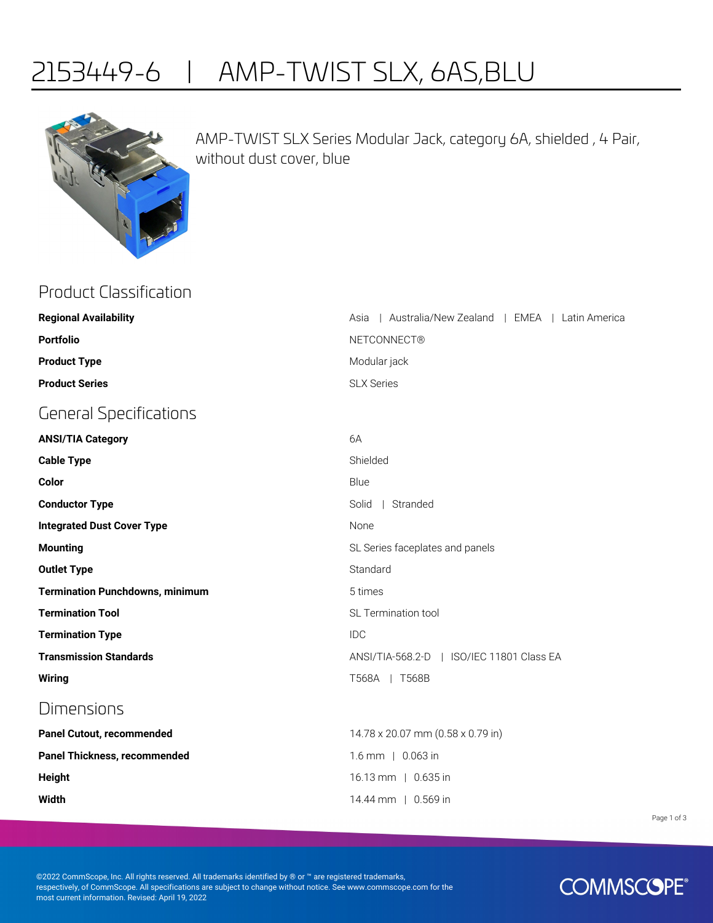## 2153449-6 | AMP-TWIST SLX, 6AS,BLU



AMP-TWIST SLX Series Modular Jack, category 6A, shielded , 4 Pair, without dust cover, blue

| <b>Product Classification</b>          |                                                      |
|----------------------------------------|------------------------------------------------------|
| <b>Regional Availability</b>           | Australia/New Zealand   EMEA   Latin America<br>Asia |
| <b>Portfolio</b>                       | <b>NETCONNECT®</b>                                   |
| <b>Product Type</b>                    | Modular jack                                         |
| <b>Product Series</b>                  | <b>SLX Series</b>                                    |
| <b>General Specifications</b>          |                                                      |
| <b>ANSI/TIA Category</b>               | 6A                                                   |
| <b>Cable Type</b>                      | Shielded                                             |
| Color                                  | Blue                                                 |
| <b>Conductor Type</b>                  | Solid   Stranded                                     |
| <b>Integrated Dust Cover Type</b>      | None                                                 |
| <b>Mounting</b>                        | SL Series faceplates and panels                      |
| <b>Outlet Type</b>                     | Standard                                             |
| <b>Termination Punchdowns, minimum</b> | 5 times                                              |
| <b>Termination Tool</b>                | SL Termination tool                                  |
| <b>Termination Type</b>                | <b>IDC</b>                                           |
| <b>Transmission Standards</b>          | ANSI/TIA-568.2-D   ISO/IEC 11801 Class EA            |
| <b>Wiring</b>                          | T568A   T568B                                        |
| Dimensions                             |                                                      |
| Panel Cutout, recommended              | 14.78 x 20.07 mm (0.58 x 0.79 in)                    |
| Panel Thickness, recommended           | 1.6 mm   0.063 in                                    |
| <b>Height</b>                          | 16.13 mm   0.635 in                                  |
| <b>Width</b>                           | 14.44 mm   0.569 in                                  |
|                                        |                                                      |

Page 1 of 3

©2022 CommScope, Inc. All rights reserved. All trademarks identified by ® or ™ are registered trademarks, respectively, of CommScope. All specifications are subject to change without notice. See www.commscope.com for the most current information. Revised: April 19, 2022

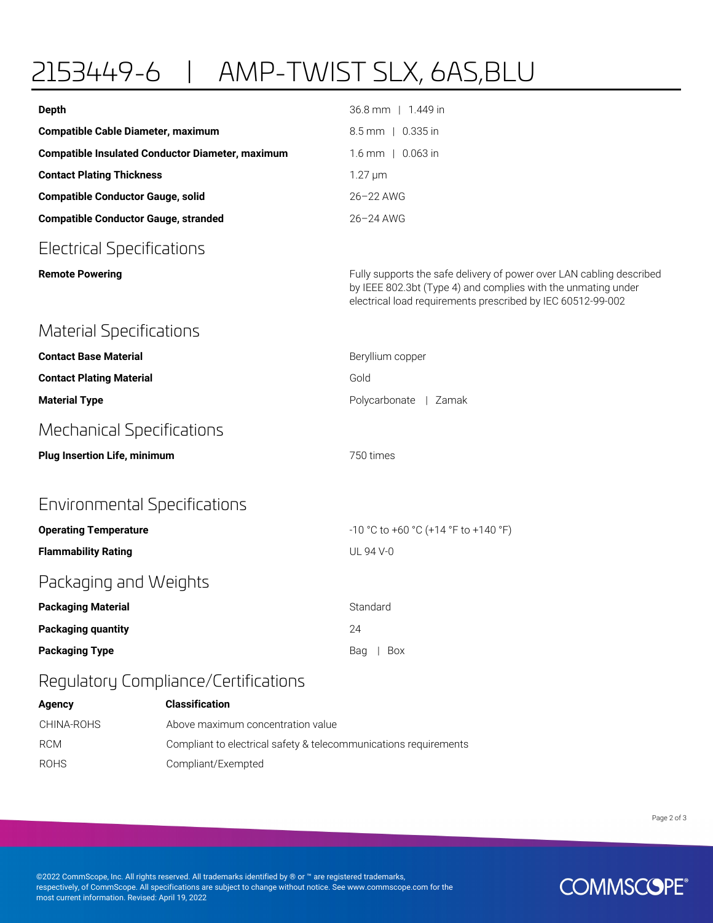## 2153449-6 | AMP-TWIST SLX, 6AS,BLU

| <b>Depth</b>                                            | 36.8 mm   1.449 in                                                                                                                                                                                   |
|---------------------------------------------------------|------------------------------------------------------------------------------------------------------------------------------------------------------------------------------------------------------|
| <b>Compatible Cable Diameter, maximum</b>               | 8.5 mm   0.335 in                                                                                                                                                                                    |
| <b>Compatible Insulated Conductor Diameter, maximum</b> | 1.6 mm   0.063 in                                                                                                                                                                                    |
| <b>Contact Plating Thickness</b>                        | $1.27 \mu m$                                                                                                                                                                                         |
| <b>Compatible Conductor Gauge, solid</b>                | 26-22 AWG                                                                                                                                                                                            |
| <b>Compatible Conductor Gauge, stranded</b>             | 26-24 AWG                                                                                                                                                                                            |
| <b>Electrical Specifications</b>                        |                                                                                                                                                                                                      |
| <b>Remote Powering</b>                                  | Fully supports the safe delivery of power over LAN cabling described<br>by IEEE 802.3bt (Type 4) and complies with the unmating under<br>electrical load requirements prescribed by IEC 60512-99-002 |
| <b>Material Specifications</b>                          |                                                                                                                                                                                                      |
| <b>Contact Base Material</b>                            | Beryllium copper                                                                                                                                                                                     |
| <b>Contact Plating Material</b>                         | Gold                                                                                                                                                                                                 |
| <b>Material Type</b>                                    | Polycarbonate   Zamak                                                                                                                                                                                |
| <b>Mechanical Specifications</b>                        |                                                                                                                                                                                                      |
| <b>Plug Insertion Life, minimum</b>                     | 750 times                                                                                                                                                                                            |
| Environmental Specifications                            |                                                                                                                                                                                                      |
| <b>Operating Temperature</b>                            | -10 °C to +60 °C (+14 °F to +140 °F)                                                                                                                                                                 |
| <b>Flammability Rating</b>                              | UL 94 V-0                                                                                                                                                                                            |
| Packaging and Weights                                   |                                                                                                                                                                                                      |
| <b>Packaging Material</b>                               | Standard                                                                                                                                                                                             |
| <b>Packaging quantity</b>                               | 24                                                                                                                                                                                                   |
| <b>Packaging Type</b>                                   | Box<br>Bag                                                                                                                                                                                           |
| Regulatory Compliance/Certifications                    |                                                                                                                                                                                                      |

| Agency      | <b>Classification</b>                                            |
|-------------|------------------------------------------------------------------|
| CHINA-ROHS  | Above maximum concentration value                                |
| <b>RCM</b>  | Compliant to electrical safety & telecommunications requirements |
| <b>ROHS</b> | Compliant/Exempted                                               |

Page 2 of 3

©2022 CommScope, Inc. All rights reserved. All trademarks identified by ® or ™ are registered trademarks, respectively, of CommScope. All specifications are subject to change without notice. See www.commscope.com for the most current information. Revised: April 19, 2022